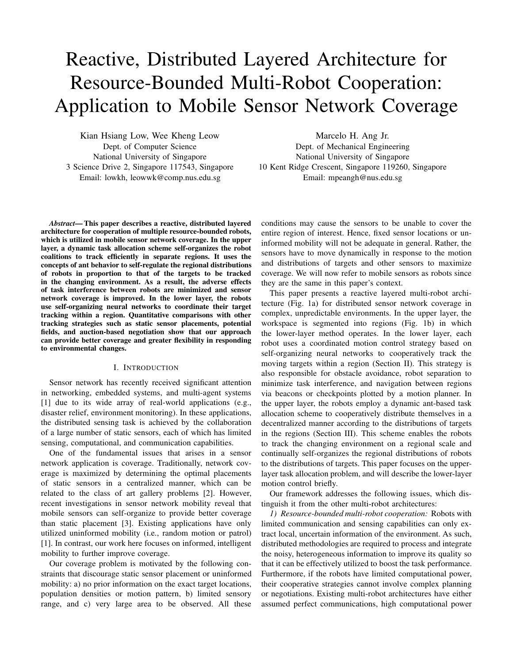# Reactive, Distributed Layered Architecture for Resource-Bounded Multi-Robot Cooperation: Application to Mobile Sensor Network Coverage

Kian Hsiang Low, Wee Kheng Leow Dept. of Computer Science National University of Singapore 3 Science Drive 2, Singapore 117543, Singapore Email: lowkh, leowwk@comp.nus.edu.sg

Marcelo H. Ang Jr. Dept. of Mechanical Engineering National University of Singapore 10 Kent Ridge Crescent, Singapore 119260, Singapore Email: mpeangh@nus.edu.sg

Abstract— This paper describes a reactive, distributed layered architecture for cooperation of multiple resource-bounded robots, which is utilized in mobile sensor network coverage. In the upper layer, a dynamic task allocation scheme self-organizes the robot coalitions to track efficiently in separate regions. It uses the concepts of ant behavior to self-regulate the regional distributions of robots in proportion to that of the targets to be tracked in the changing environment. As a result, the adverse effects of task interference between robots are minimized and sensor network coverage is improved. In the lower layer, the robots use self-organizing neural networks to coordinate their target tracking within a region. Quantitative comparisons with other tracking strategies such as static sensor placements, potential fields, and auction-based negotiation show that our approach can provide better coverage and greater flexibility in responding to environmental changes.

## I. INTRODUCTION

Sensor network has recently received significant attention in networking, embedded systems, and multi-agent systems [1] due to its wide array of real-world applications (e.g., disaster relief, environment monitoring). In these applications, the distributed sensing task is achieved by the collaboration of a large number of static sensors, each of which has limited sensing, computational, and communication capabilities.

One of the fundamental issues that arises in a sensor network application is coverage. Traditionally, network coverage is maximized by determining the optimal placements of static sensors in a centralized manner, which can be related to the class of art gallery problems [2]. However, recent investigations in sensor network mobility reveal that mobile sensors can self-organize to provide better coverage than static placement [3]. Existing applications have only utilized uninformed mobility (i.e., random motion or patrol) [1]. In contrast, our work here focuses on informed, intelligent mobility to further improve coverage.

Our coverage problem is motivated by the following constraints that discourage static sensor placement or uninformed mobility: a) no prior information on the exact target locations, population densities or motion pattern, b) limited sensory range, and c) very large area to be observed. All these

conditions may cause the sensors to be unable to cover the entire region of interest. Hence, fixed sensor locations or uninformed mobility will not be adequate in general. Rather, the sensors have to move dynamically in response to the motion and distributions of targets and other sensors to maximize coverage. We will now refer to mobile sensors as robots since they are the same in this paper's context.

This paper presents a reactive layered multi-robot architecture (Fig. 1a) for distributed sensor network coverage in complex, unpredictable environments. In the upper layer, the workspace is segmented into regions (Fig. 1b) in which the lower-layer method operates. In the lower layer, each robot uses a coordinated motion control strategy based on self-organizing neural networks to cooperatively track the moving targets within a region (Section II). This strategy is also responsible for obstacle avoidance, robot separation to minimize task interference, and navigation between regions via beacons or checkpoints plotted by a motion planner. In the upper layer, the robots employ a dynamic ant-based task allocation scheme to cooperatively distribute themselves in a decentralized manner according to the distributions of targets in the regions (Section III). This scheme enables the robots to track the changing environment on a regional scale and continually self-organizes the regional distributions of robots to the distributions of targets. This paper focuses on the upperlayer task allocation problem, and will describe the lower-layer motion control briefly.

Our framework addresses the following issues, which distinguish it from the other multi-robot architectures:

1) Resource-bounded multi-robot cooperation: Robots with limited communication and sensing capabilities can only extract local, uncertain information of the environment. As such, distributed methodologies are required to process and integrate the noisy, heterogeneous information to improve its quality so that it can be effectively utilized to boost the task performance. Furthermore, if the robots have limited computational power, their cooperative strategies cannot involve complex planning or negotiations. Existing multi-robot architectures have either assumed perfect communications, high computational power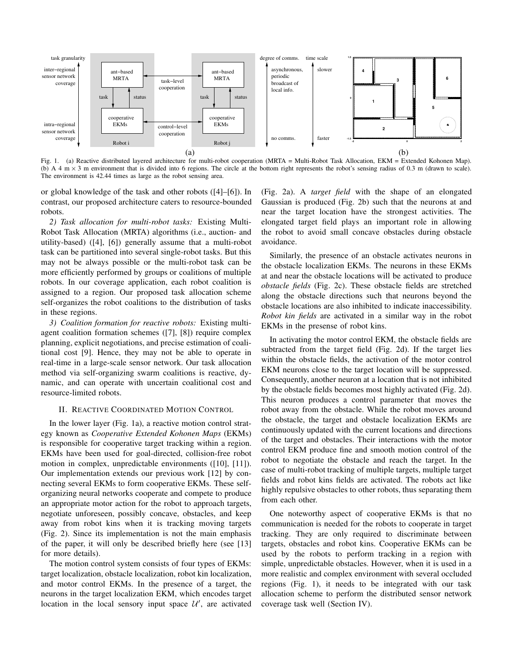

Fig. 1. (a) Reactive distributed layered architecture for multi-robot cooperation (MRTA = Multi-Robot Task Allocation, EKM = Extended Kohonen Map). (b) A 4 m  $\times$  3 m environment that is divided into 6 regions. The circle at the bottom right represents the robot's sensing radius of 0.3 m (drawn to scale). The environment is 42.44 times as large as the robot sensing area.

or global knowledge of the task and other robots ([4]–[6]). In contrast, our proposed architecture caters to resource-bounded robots.

2) Task allocation for multi-robot tasks: Existing Multi-Robot Task Allocation (MRTA) algorithms (i.e., auction- and utility-based) ([4], [6]) generally assume that a multi-robot task can be partitioned into several single-robot tasks. But this may not be always possible or the multi-robot task can be more efficiently performed by groups or coalitions of multiple robots. In our coverage application, each robot coalition is assigned to a region. Our proposed task allocation scheme self-organizes the robot coalitions to the distribution of tasks in these regions.

3) Coalition formation for reactive robots: Existing multiagent coalition formation schemes ([7], [8]) require complex planning, explicit negotiations, and precise estimation of coalitional cost [9]. Hence, they may not be able to operate in real-time in a large-scale sensor network. Our task allocation method via self-organizing swarm coalitions is reactive, dynamic, and can operate with uncertain coalitional cost and resource-limited robots.

# II. REACTIVE COORDINATED MOTION CONTROL

In the lower layer (Fig. 1a), a reactive motion control strategy known as Cooperative Extended Kohonen Maps (EKMs) is responsible for cooperative target tracking within a region. EKMs have been used for goal-directed, collision-free robot motion in complex, unpredictable environments ([10], [11]). Our implementation extends our previous work [12] by connecting several EKMs to form cooperative EKMs. These selforganizing neural networks cooperate and compete to produce an appropriate motor action for the robot to approach targets, negotiate unforeseen, possibly concave, obstacles, and keep away from robot kins when it is tracking moving targets (Fig. 2). Since its implementation is not the main emphasis of the paper, it will only be described briefly here (see [13] for more details).

The motion control system consists of four types of EKMs: target localization, obstacle localization, robot kin localization, and motor control EKMs. In the presence of a target, the neurons in the target localization EKM, which encodes target location in the local sensory input space  $\mathcal{U}'$ , are activated

(Fig. 2a). A target field with the shape of an elongated Gaussian is produced (Fig. 2b) such that the neurons at and near the target location have the strongest activities. The elongated target field plays an important role in allowing the robot to avoid small concave obstacles during obstacle avoidance.

Similarly, the presence of an obstacle activates neurons in the obstacle localization EKMs. The neurons in these EKMs at and near the obstacle locations will be activated to produce obstacle fields (Fig. 2c). These obstacle fields are stretched along the obstacle directions such that neurons beyond the obstacle locations are also inhibited to indicate inaccessibility. Robot kin fields are activated in a similar way in the robot EKMs in the presense of robot kins.

In activating the motor control EKM, the obstacle fields are subtracted from the target field (Fig. 2d). If the target lies within the obstacle fields, the activation of the motor control EKM neurons close to the target location will be suppressed. Consequently, another neuron at a location that is not inhibited by the obstacle fields becomes most highly activated (Fig. 2d). This neuron produces a control parameter that moves the robot away from the obstacle. While the robot moves around the obstacle, the target and obstacle localization EKMs are continuously updated with the current locations and directions of the target and obstacles. Their interactions with the motor control EKM produce fine and smooth motion control of the robot to negotiate the obstacle and reach the target. In the case of multi-robot tracking of multiple targets, multiple target fields and robot kins fields are activated. The robots act like highly repulsive obstacles to other robots, thus separating them from each other.

One noteworthy aspect of cooperative EKMs is that no communication is needed for the robots to cooperate in target tracking. They are only required to discriminate between targets, obstacles and robot kins. Cooperative EKMs can be used by the robots to perform tracking in a region with simple, unpredictable obstacles. However, when it is used in a more realistic and complex environment with several occluded regions (Fig. 1), it needs to be integrated with our task allocation scheme to perform the distributed sensor network coverage task well (Section IV).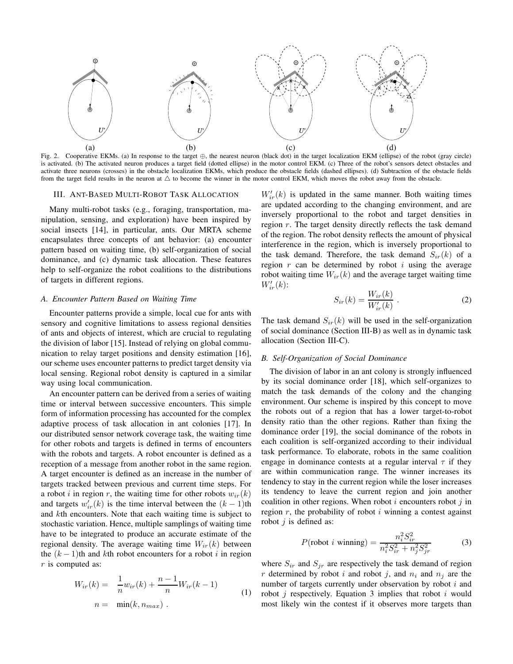

Fig. 2. Cooperative EKMs. (a) In response to the target ⊕, the nearest neuron (black dot) in the target localization EKM (ellipse) of the robot (gray circle) is activated. (b) The activated neuron produces a target field (dotted ellipse) in the motor control EKM. (c) Three of the robot's sensors detect obstacles and activate three neurons (crosses) in the obstacle localization EKMs, which produce the obstacle fields (dashed ellipses). (d) Subtraction of the obstacle fields from the target field results in the neuron at  $\triangle$  to become the winner in the motor control EKM, which moves the robot away from the obstacle.

#### III. ANT-BASED MULTI-ROBOT TASK ALLOCATION

Many multi-robot tasks (e.g., foraging, transportation, manipulation, sensing, and exploration) have been inspired by social insects [14], in particular, ants. Our MRTA scheme encapsulates three concepts of ant behavior: (a) encounter pattern based on waiting time, (b) self-organization of social dominance, and (c) dynamic task allocation. These features help to self-organize the robot coalitions to the distributions of targets in different regions.

### A. Encounter Pattern Based on Waiting Time

Encounter patterns provide a simple, local cue for ants with sensory and cognitive limitations to assess regional densities of ants and objects of interest, which are crucial to regulating the division of labor [15]. Instead of relying on global communication to relay target positions and density estimation [16], our scheme uses encounter patterns to predict target density via local sensing. Regional robot density is captured in a similar way using local communication.

An encounter pattern can be derived from a series of waiting time or interval between successive encounters. This simple form of information processing has accounted for the complex adaptive process of task allocation in ant colonies [17]. In our distributed sensor network coverage task, the waiting time for other robots and targets is defined in terms of encounters with the robots and targets. A robot encounter is defined as a reception of a message from another robot in the same region. A target encounter is defined as an increase in the number of targets tracked between previous and current time steps. For a robot i in region r, the waiting time for other robots  $w_{ir}(k)$ and targets  $w'_{ir}(k)$  is the time interval between the  $(k-1)$ th and kth encounters. Note that each waiting time is subject to stochastic variation. Hence, multiple samplings of waiting time have to be integrated to produce an accurate estimate of the regional density. The average waiting time  $W_{ir}(k)$  between the  $(k - 1)$ th and kth robot encounters for a robot i in region  $r$  is computed as:

$$
W_{ir}(k) = \frac{1}{n} w_{ir}(k) + \frac{n-1}{n} W_{ir}(k-1)
$$
  
\n
$$
n = \min(k, n_{max}).
$$
 (1)

 $W'_{ir}(k)$  is updated in the same manner. Both waiting times are updated according to the changing environment, and are inversely proportional to the robot and target densities in region r. The target density directly reflects the task demand of the region. The robot density reflects the amount of physical interference in the region, which is inversely proportional to the task demand. Therefore, the task demand  $S_{ir}(k)$  of a region  $r$  can be determined by robot  $i$  using the average robot waiting time  $W_{ir}(k)$  and the average target waiting time  $W'_{ir}(k)$ :

$$
S_{ir}(k) = \frac{W_{ir}(k)}{W'_{ir}(k)}.
$$
 (2)

The task demand  $S_{ir}(k)$  will be used in the self-organization of social dominance (Section III-B) as well as in dynamic task allocation (Section III-C).

## B. Self-Organization of Social Dominance

The division of labor in an ant colony is strongly influenced by its social dominance order [18], which self-organizes to match the task demands of the colony and the changing environment. Our scheme is inspired by this concept to move the robots out of a region that has a lower target-to-robot density ratio than the other regions. Rather than fixing the dominance order [19], the social dominance of the robots in each coalition is self-organized according to their individual task performance. To elaborate, robots in the same coalition engage in dominance contests at a regular interval  $\tau$  if they are within communication range. The winner increases its tendency to stay in the current region while the loser increases its tendency to leave the current region and join another coalition in other regions. When robot  $i$  encounters robot  $j$  in region  $r$ , the probability of robot  $i$  winning a contest against robot  $j$  is defined as:

$$
P(\text{robot } i \text{ winning}) = \frac{n_i^2 S_{ir}^2}{n_i^2 S_{ir}^2 + n_j^2 S_{jr}^2}
$$
 (3)

where  $S_{ir}$  and  $S_{jr}$  are respectively the task demand of region r determined by robot i and robot j, and  $n_i$  and  $n_j$  are the number of targets currently under observation by robot  $i$  and robot  $j$  respectively. Equation 3 implies that robot  $i$  would most likely win the contest if it observes more targets than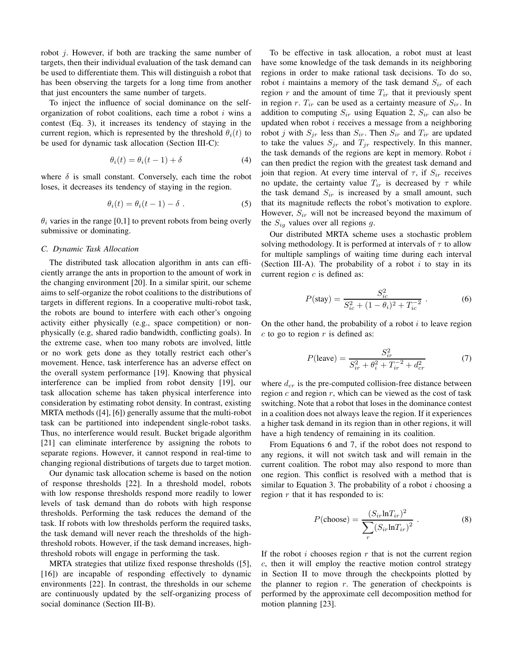robot j. However, if both are tracking the same number of targets, then their individual evaluation of the task demand can be used to differentiate them. This will distinguish a robot that has been observing the targets for a long time from another that just encounters the same number of targets.

To inject the influence of social dominance on the selforganization of robot coalitions, each time a robot  $i$  wins a contest (Eq. 3), it increases its tendency of staying in the current region, which is represented by the threshold  $\theta_i(t)$  to be used for dynamic task allocation (Section III-C):

$$
\theta_i(t) = \theta_i(t-1) + \delta \tag{4}
$$

where  $\delta$  is small constant. Conversely, each time the robot loses, it decreases its tendency of staying in the region.

$$
\theta_i(t) = \theta_i(t-1) - \delta . \tag{5}
$$

 $\theta_i$  varies in the range [0,1] to prevent robots from being overly submissive or dominating.

#### C. Dynamic Task Allocation

The distributed task allocation algorithm in ants can efficiently arrange the ants in proportion to the amount of work in the changing environment [20]. In a similar spirit, our scheme aims to self-organize the robot coalitions to the distributions of targets in different regions. In a cooperative multi-robot task, the robots are bound to interfere with each other's ongoing activity either physically (e.g., space competition) or nonphysically (e.g, shared radio bandwidth, conflicting goals). In the extreme case, when too many robots are involved, little or no work gets done as they totally restrict each other's movement. Hence, task interference has an adverse effect on the overall system performance [19]. Knowing that physical interference can be implied from robot density [19], our task allocation scheme has taken physical interference into consideration by estimating robot density. In contrast, existing MRTA methods ([4], [6]) generally assume that the multi-robot task can be partitioned into independent single-robot tasks. Thus, no interference would result. Bucket brigade algorithm [21] can eliminate interference by assigning the robots to separate regions. However, it cannot respond in real-time to changing regional distributions of targets due to target motion.

Our dynamic task allocation scheme is based on the notion of response thresholds [22]. In a threshold model, robots with low response thresholds respond more readily to lower levels of task demand than do robots with high response thresholds. Performing the task reduces the demand of the task. If robots with low thresholds perform the required tasks, the task demand will never reach the thresholds of the highthreshold robots. However, if the task demand increases, highthreshold robots will engage in performing the task.

MRTA strategies that utilize fixed response thresholds ([5], [16]) are incapable of responding effectively to dynamic environments [22]. In contrast, the thresholds in our scheme are continuously updated by the self-organizing process of social dominance (Section III-B).

To be effective in task allocation, a robot must at least have some knowledge of the task demands in its neighboring regions in order to make rational task decisions. To do so, robot i maintains a memory of the task demand  $S_{ir}$  of each region r and the amount of time  $T_{ir}$  that it previously spent in region r.  $T_{ir}$  can be used as a certainty measure of  $S_{ir}$ . In addition to computing  $S_{ir}$  using Equation 2,  $S_{ir}$  can also be updated when robot  $i$  receives a message from a neighboring robot j with  $S_{jr}$  less than  $S_{ir}$ . Then  $S_{ir}$  and  $T_{ir}$  are updated to take the values  $S_{ir}$  and  $T_{ir}$  respectively. In this manner, the task demands of the regions are kept in memory. Robot  $i$ can then predict the region with the greatest task demand and join that region. At every time interval of  $\tau$ , if  $S_{ir}$  receives no update, the certainty value  $T_{ir}$  is decreased by  $\tau$  while the task demand  $S_{ir}$  is increased by a small amount, such that its magnitude reflects the robot's motivation to explore. However,  $S_{ir}$  will not be increased beyond the maximum of the  $S_{ig}$  values over all regions g.

Our distributed MRTA scheme uses a stochastic problem solving methodology. It is performed at intervals of  $\tau$  to allow for multiple samplings of waiting time during each interval (Section III-A). The probability of a robot  $i$  to stay in its current region  $c$  is defined as:

$$
P(\text{stay}) = \frac{S_{ic}^2}{S_{ic}^2 + (1 - \theta_i)^2 + T_{ic}^{-2}} \tag{6}
$$

On the other hand, the probability of a robot  $i$  to leave region  $c$  to go to region  $r$  is defined as:

$$
P(\text{leave}) = \frac{S_{ir}^2}{S_{ir}^2 + \theta_i^2 + T_{ir}^{-2} + d_{cr}^2}
$$
 (7)

where  $d_{cr}$  is the pre-computed collision-free distance between region  $c$  and region  $r$ , which can be viewed as the cost of task switching. Note that a robot that loses in the dominance contest in a coalition does not always leave the region. If it experiences a higher task demand in its region than in other regions, it will have a high tendency of remaining in its coalition.

From Equations 6 and 7, if the robot does not respond to any regions, it will not switch task and will remain in the current coalition. The robot may also respond to more than one region. This conflict is resolved with a method that is similar to Equation 3. The probability of a robot  $i$  choosing a region  $r$  that it has responded to is:

$$
P(\text{choose}) = \frac{(S_{ir} \ln T_{ir})^2}{\sum_{r} (S_{ir} \ln T_{ir})^2}.
$$
 (8)

If the robot  $i$  chooses region  $r$  that is not the current region c, then it will employ the reactive motion control strategy in Section II to move through the checkpoints plotted by the planner to region  $r$ . The generation of checkpoints is performed by the approximate cell decomposition method for motion planning [23].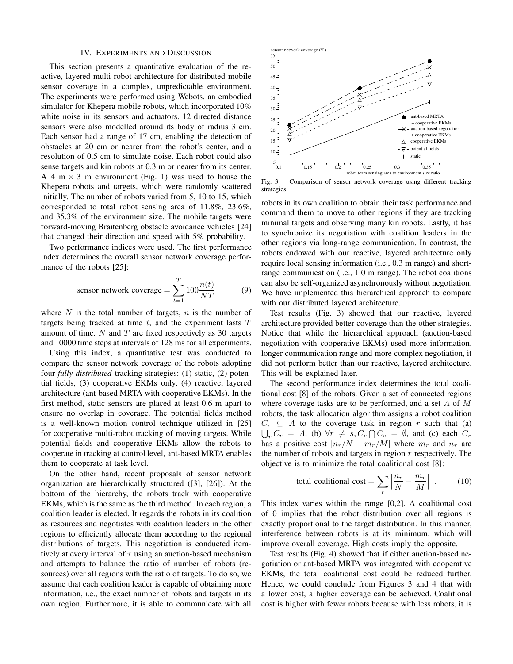#### IV. EXPERIMENTS AND DISCUSSION

This section presents a quantitative evaluation of the reactive, layered multi-robot architecture for distributed mobile sensor coverage in a complex, unpredictable environment. The experiments were performed using Webots, an embodied simulator for Khepera mobile robots, which incorporated 10% white noise in its sensors and actuators. 12 directed distance sensors were also modelled around its body of radius 3 cm. Each sensor had a range of 17 cm, enabling the detection of obstacles at 20 cm or nearer from the robot's center, and a resolution of 0.5 cm to simulate noise. Each robot could also sense targets and kin robots at 0.3 m or nearer from its center. A 4 m  $\times$  3 m environment (Fig. 1) was used to house the Khepera robots and targets, which were randomly scattered initially. The number of robots varied from 5, 10 to 15, which corresponded to total robot sensing area of 11.8%, 23.6%, and 35.3% of the environment size. The mobile targets were forward-moving Braitenberg obstacle avoidance vehicles [24] that changed their direction and speed with 5% probability.

Two performance indices were used. The first performance index determines the overall sensor network coverage performance of the robots [25]:

$$
sensor network coverage = \sum_{t=1}^{T} 100 \frac{n(t)}{NT}
$$
 (9)

where  $N$  is the total number of targets,  $n$  is the number of targets being tracked at time  $t$ , and the experiment lasts  $T$ amount of time.  $N$  and  $T$  are fixed respectively as 30 targets and 10000 time steps at intervals of 128 ms for all experiments.

Using this index, a quantitative test was conducted to compare the sensor network coverage of the robots adopting four fully distributed tracking strategies: (1) static, (2) potential fields, (3) cooperative EKMs only, (4) reactive, layered architecture (ant-based MRTA with cooperative EKMs). In the first method, static sensors are placed at least 0.6 m apart to ensure no overlap in coverage. The potential fields method is a well-known motion control technique utilized in [25] for cooperative multi-robot tracking of moving targets. While potential fields and cooperative EKMs allow the robots to cooperate in tracking at control level, ant-based MRTA enables them to cooperate at task level.

On the other hand, recent proposals of sensor network organization are hierarchically structured ([3], [26]). At the bottom of the hierarchy, the robots track with cooperative EKMs, which is the same as the third method. In each region, a coalition leader is elected. It regards the robots in its coalition as resources and negotiates with coalition leaders in the other regions to efficiently allocate them according to the regional distributions of targets. This negotiation is conducted iteratively at every interval of  $\tau$  using an auction-based mechanism and attempts to balance the ratio of number of robots (resources) over all regions with the ratio of targets. To do so, we assume that each coalition leader is capable of obtaining more information, i.e., the exact number of robots and targets in its own region. Furthermore, it is able to communicate with all



Fig. 3. Comparison of sensor network coverage using different tracking strategies.

robots in its own coalition to obtain their task performance and command them to move to other regions if they are tracking minimal targets and observing many kin robots. Lastly, it has to synchronize its negotiation with coalition leaders in the other regions via long-range communication. In contrast, the robots endowed with our reactive, layered architecture only require local sensing information (i.e., 0.3 m range) and shortrange communication (i.e., 1.0 m range). The robot coalitions can also be self-organized asynchronously without negotiation. We have implemented this hierarchical approach to compare with our distributed layered architecture.

Test results (Fig. 3) showed that our reactive, layered architecture provided better coverage than the other strategies. Notice that while the hierarchical approach (auction-based negotiation with cooperative EKMs) used more information, longer communication range and more complex negotiation, it did not perform better than our reactive, layered architecture. This will be explained later.

The second performance index determines the total coalitional cost [8] of the robots. Given a set of connected regions where coverage tasks are to be performed, and a set  $A$  of  $M$ robots, the task allocation algorithm assigns a robot coalition  $C_r \subseteq A$  to the coverage task in region r such that (a)  $\bigcup_{r} C_r = A$ , (b)  $\forall r \neq s, C_r \bigcap C_s = \emptyset$ , and (c) each  $C_r$ has a positive cost  $|n_r/N - m_r/M|$  where  $m_r$  and  $n_r$  are the number of robots and targets in region  $r$  respectively. The objective is to minimize the total coalitional cost [8]:

total conditional cost = 
$$
\sum_{r} \left| \frac{n_r}{N} - \frac{m_r}{M} \right| .
$$
 (10)

This index varies within the range [0,2]. A coalitional cost of 0 implies that the robot distribution over all regions is exactly proportional to the target distribution. In this manner, interference between robots is at its minimum, which will improve overall coverage. High costs imply the opposite.

Test results (Fig. 4) showed that if either auction-based negotiation or ant-based MRTA was integrated with cooperative EKMs, the total coalitional cost could be reduced further. Hence, we could conclude from Figures 3 and 4 that with a lower cost, a higher coverage can be achieved. Coalitional cost is higher with fewer robots because with less robots, it is